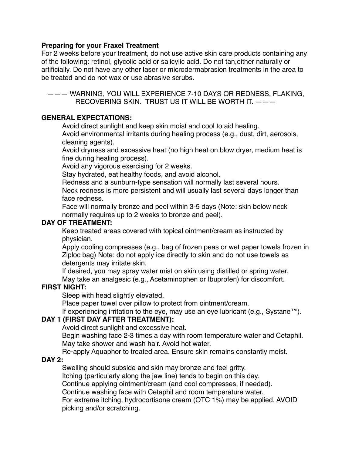#### **Preparing for your Fraxel Treatment**

For 2 weeks before your treatment, do not use active skin care products containing any of the following: retinol, glycolic acid or salicylic acid. Do not tan,either naturally or artificially. Do not have any other laser or microdermabrasion treatments in the area to be treated and do not wax or use abrasive scrubs.

——— WARNING, YOU WILL EXPERIENCE 7-10 DAYS OR REDNESS, FLAKING, RECOVERING SKIN. TRUST US IT WILL BE WORTH IT. ———

# **GENERAL EXPECTATIONS:**

Avoid direct sunlight and keep skin moist and cool to aid healing.

Avoid environmental irritants during healing process (e.g., dust, dirt, aerosols, cleaning agents).

Avoid dryness and excessive heat (no high heat on blow dryer, medium heat is fine during healing process).

Avoid any vigorous exercising for 2 weeks.

Stay hydrated, eat healthy foods, and avoid alcohol.

Redness and a sunburn-type sensation will normally last several hours.

Neck redness is more persistent and will usually last several days longer than face redness.

Face will normally bronze and peel within 3-5 days (Note: skin below neck normally requires up to 2 weeks to bronze and peel).

#### **DAY OF TREATMENT:**

Keep treated areas covered with topical ointment/cream as instructed by physician.

Apply cooling compresses (e.g., bag of frozen peas or wet paper towels frozen in Ziploc bag) Note: do not apply ice directly to skin and do not use towels as detergents may irritate skin.

If desired, you may spray water mist on skin using distilled or spring water. May take an analgesic (e.g., Acetaminophen or Ibuprofen) for discomfort.

#### **FIRST NIGHT:**

Sleep with head slightly elevated.

Place paper towel over pillow to protect from ointment/cream.

If experiencing irritation to the eye, may use an eye lubricant (e.g., Systane™).

#### **DAY 1 (FIRST DAY AFTER TREATMENT):**

Avoid direct sunlight and excessive heat.

Begin washing face 2-3 times a day with room temperature water and Cetaphil. May take shower and wash hair. Avoid hot water.

Re-apply Aquaphor to treated area. Ensure skin remains constantly moist.

#### **DAY 2:**

Swelling should subside and skin may bronze and feel gritty.

Itching (particularly along the jaw line) tends to begin on this day.

Continue applying ointment/cream (and cool compresses, if needed).

Continue washing face with Cetaphil and room temperature water.

For extreme itching, hydrocortisone cream (OTC 1%) may be applied. AVOID picking and/or scratching.